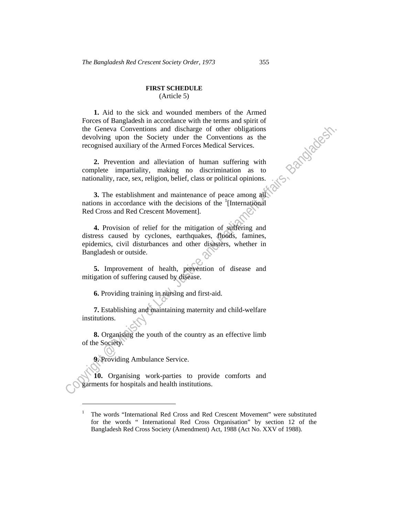## **FIRST SCHEDULE**

(Article 5)

**1.** Aid to the sick and wounded members of the Armed Forces of Bangladesh in accordance with the terms and spirit of the Geneva Conventions and discharge of other obligations devolving upon the Society under the Conventions as the recognised auxiliary of the Armed Forces Medical Services.

**2.** Prevention and alleviation of human suffering with complete impartiality, making no discrimination as to nationality, race, sex, religion, belief, class or political opinions.

**3.** The establishment and maintenance of peace among all nations in accordance with the decisions of the <sup>1</sup>[International Red Cross and Red Crescent Movement].

the Geneva Conventions and discharge of orther obigations<br>devolving upon the Society under the Conventions as the<br>recognised ausiliary of the Armed Forces Medical Services.<br>2. Prevention and alleviation of human suffering **4.** Provision of relief for the mitigation of suffering and distress caused by cyclones, earthquakes, floods, famines, epidemics, civil disturbances and other disasters, whether in Bangladesh or outside.

**5.** Improvement of health, prevention of disease and mitigation of suffering caused by disease.

**6.** Providing training in nursing and first-aid.

**7.** Establishing and maintaining maternity and child-welfare institutions.

**8.** Organising the youth of the country as an effective limb of the Society.

**9.** Providing Ambulance Service.

 $\overline{a}$ 

**10.** Organising work-parties to provide comforts and garments for hospitals and health institutions.

<sup>1</sup> The words "International Red Cross and Red Crescent Movement" were substituted for the words " International Red Cross Organisation" by section 12 of the Bangladesh Red Cross Society (Amendment) Act, 1988 (Act No. XXV of 1988).